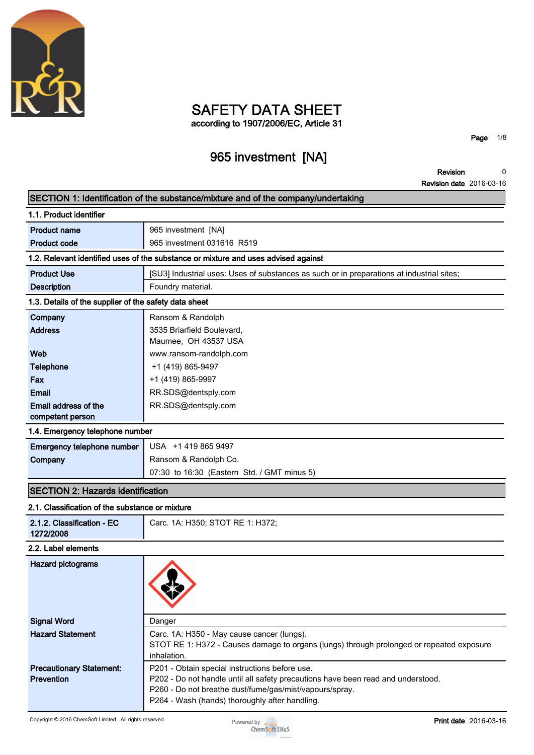

## **SAFETY DATA SHEET according to 1907/2006/EC, Article 31**

# **965 investment [NA]**

**Page 1/8**

**Revision Revision date 2016-03-16 0**

|                                                       | SECTION 1: Identification of the substance/mixture and of the company/undertaking         |  |  |
|-------------------------------------------------------|-------------------------------------------------------------------------------------------|--|--|
| 1.1. Product identifier                               |                                                                                           |  |  |
| <b>Product name</b>                                   | 965 investment [NA]                                                                       |  |  |
| <b>Product code</b>                                   | 965 investment 031616 R519                                                                |  |  |
|                                                       | 1.2. Relevant identified uses of the substance or mixture and uses advised against        |  |  |
| <b>Product Use</b>                                    | [SU3] Industrial uses: Uses of substances as such or in preparations at industrial sites; |  |  |
| <b>Description</b>                                    | Foundry material.                                                                         |  |  |
| 1.3. Details of the supplier of the safety data sheet |                                                                                           |  |  |
| Company                                               | Ransom & Randolph                                                                         |  |  |
| <b>Address</b>                                        | 3535 Briarfield Boulevard,                                                                |  |  |
|                                                       | Maumee, OH 43537 USA                                                                      |  |  |
| Web                                                   | www.ransom-randolph.com                                                                   |  |  |
| <b>Telephone</b>                                      | +1 (419) 865-9497                                                                         |  |  |
| Fax                                                   | +1 (419) 865-9997                                                                         |  |  |
| <b>Email</b>                                          | RR.SDS@dentsply.com                                                                       |  |  |
| Email address of the<br>competent person              | RR.SDS@dentsply.com                                                                       |  |  |
| 1.4. Emergency telephone number                       |                                                                                           |  |  |
| <b>Emergency telephone number</b>                     | USA +1 419 865 9497                                                                       |  |  |
| Company                                               | Ransom & Randolph Co.                                                                     |  |  |
|                                                       | 07:30 to 16:30 (Eastern Std. / GMT minus 5)                                               |  |  |
| <b>SECTION 2: Hazards identification</b>              |                                                                                           |  |  |
| 2.1. Classification of the substance or mixture       |                                                                                           |  |  |
| 2.1.2. Classification - EC<br>1272/2008               | Carc. 1A: H350; STOT RE 1: H372;                                                          |  |  |
| 2.2. Label elements                                   |                                                                                           |  |  |
| <b>Hazard pictograms</b>                              |                                                                                           |  |  |
| <b>Signal Word</b>                                    | Danger                                                                                    |  |  |
| <b>Hazard Statement</b>                               | Carc. 1A: H350 - May cause cancer (lungs).                                                |  |  |
|                                                       | STOT RE 1: H372 - Causes damage to organs (lungs) through prolonged or repeated exposure  |  |  |
| <b>Precautionary Statement:</b>                       | inhalation.<br>P201 - Obtain special instructions before use.                             |  |  |
| Prevention                                            | P202 - Do not handle until all safety precautions have been read and understood.          |  |  |
|                                                       | P260 - Do not breathe dust/fume/gas/mist/vapours/spray.                                   |  |  |
|                                                       | P264 - Wash (hands) thoroughly after handling.                                            |  |  |

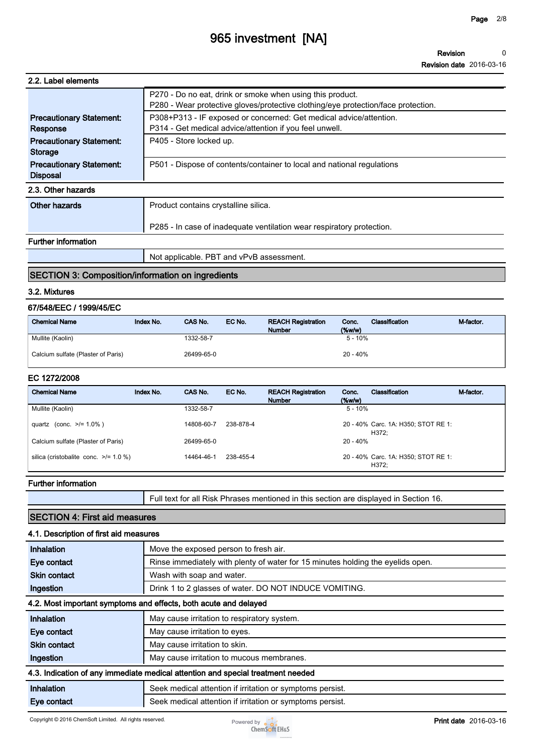# **965 investment [NA]**

**Revision Revision date 2016-03-16 0**

| 2.2. Label elements                                |                                                                                                                                                |
|----------------------------------------------------|------------------------------------------------------------------------------------------------------------------------------------------------|
|                                                    | P270 - Do no eat, drink or smoke when using this product.<br>P280 - Wear protective gloves/protective clothing/eye protection/face protection. |
| <b>Precautionary Statement:</b><br>Response        | P308+P313 - IF exposed or concerned: Get medical advice/attention.<br>P314 - Get medical advice/attention if you feel unwell.                  |
| <b>Precautionary Statement:</b><br><b>Storage</b>  | P405 - Store locked up.                                                                                                                        |
| <b>Precautionary Statement:</b><br><b>Disposal</b> | P501 - Dispose of contents/container to local and national regulations                                                                         |
| 2.3. Other hazards                                 |                                                                                                                                                |
| Other hazards                                      | Product contains crystalline silica.                                                                                                           |
|                                                    | P285 - In case of inadequate ventilation wear respiratory protection.                                                                          |
| Eurthor information                                |                                                                                                                                                |

#### **Further information**

**Not applicable. PBT and vPvB assessment.**

#### **SECTION 3: Composition/information on ingredients**

#### **3.2. Mixtures**

### **67/548/EEC / 1999/45/EC**

| <b>Chemical Name</b>               | Index No. | CAS No.    | EC No. | <b>REACH Registration</b><br><b>Number</b> | Conc.<br>$(\%w/w)$ | Classification | M-factor. |
|------------------------------------|-----------|------------|--------|--------------------------------------------|--------------------|----------------|-----------|
| Mullite (Kaolin)                   |           | 1332-58-7  |        |                                            | $5 - 10%$          |                |           |
| Calcium sulfate (Plaster of Paris) |           | 26499-65-0 |        |                                            | 20 - 40%           |                |           |

#### **EC 1272/2008**

| <b>Chemical Name</b>                       | Index No. | CAS No.    | EC No.    | <b>REACH Registration</b><br><b>Number</b> | Conc.<br>(% | Classification                               | M-factor. |
|--------------------------------------------|-----------|------------|-----------|--------------------------------------------|-------------|----------------------------------------------|-----------|
| Mullite (Kaolin)                           |           | 1332-58-7  |           |                                            | $5 - 10%$   |                                              |           |
| quartz (conc. $>1.0\%$ )                   |           | 14808-60-7 | 238-878-4 |                                            |             | 20 - 40% Carc. 1A: H350; STOT RE 1:<br>H372: |           |
| Calcium sulfate (Plaster of Paris)         |           | 26499-65-0 |           |                                            | $20 - 40%$  |                                              |           |
| silica (cristobalite conc. $\ge$ /= 1.0 %) |           | 14464-46-1 | 238-455-4 |                                            |             | 20 - 40% Carc. 1A: H350; STOT RE 1:<br>H372: |           |

#### **Further information**

**Full text for all Risk Phrases mentioned in this section are displayed in Section 16.**

### **SECTION 4: First aid measures**

| 4.1. Description of first aid measures |                                                                                 |  |  |  |  |
|----------------------------------------|---------------------------------------------------------------------------------|--|--|--|--|
| Inhalation                             | Move the exposed person to fresh air.                                           |  |  |  |  |
| Eye contact                            | Rinse immediately with plenty of water for 15 minutes holding the eyelids open. |  |  |  |  |
| <b>Skin contact</b>                    | Wash with soap and water.                                                       |  |  |  |  |
| Ingestion                              | Drink 1 to 2 glasses of water. DO NOT INDUCE VOMITING.                          |  |  |  |  |
|                                        | 4.2. Most important symptoms and effects, both acute and delayed                |  |  |  |  |
| Inhalation                             | May cause irritation to respiratory system.                                     |  |  |  |  |
| Eye contact                            | May cause irritation to eyes.                                                   |  |  |  |  |
| <b>Skin contact</b>                    | May cause irritation to skin.                                                   |  |  |  |  |
| Ingestion                              | May cause irritation to mucous membranes.                                       |  |  |  |  |
|                                        | 4.3. Indication of any immediate medical attention and special treatment needed |  |  |  |  |
| Inhalation                             | Seek medical attention if irritation or symptoms persist.                       |  |  |  |  |
| Eye contact                            | Seek medical attention if irritation or symptoms persist.                       |  |  |  |  |

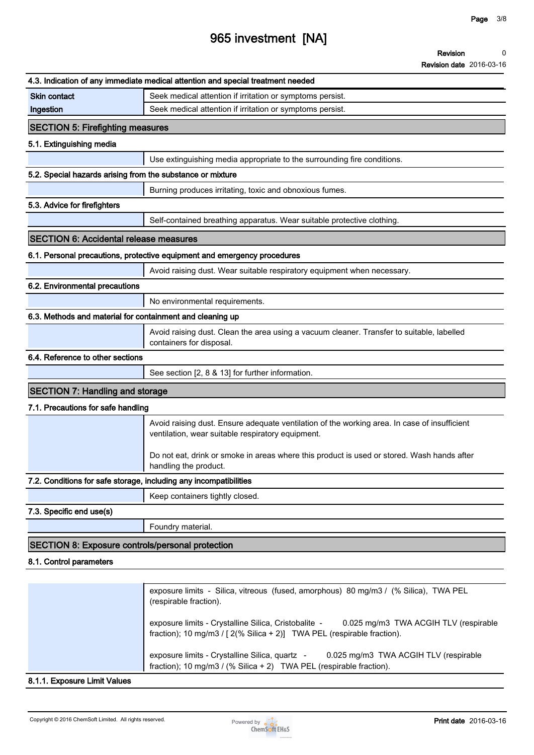#### **Revision 0**

**Revision date 2016-03-16**

|                                                                   | 4.3. Indication of any immediate medical attention and special treatment needed                                                                                                    |
|-------------------------------------------------------------------|------------------------------------------------------------------------------------------------------------------------------------------------------------------------------------|
| <b>Skin contact</b>                                               | Seek medical attention if irritation or symptoms persist.                                                                                                                          |
| Ingestion                                                         | Seek medical attention if irritation or symptoms persist.                                                                                                                          |
| <b>SECTION 5: Firefighting measures</b>                           |                                                                                                                                                                                    |
| 5.1. Extinguishing media                                          |                                                                                                                                                                                    |
|                                                                   | Use extinguishing media appropriate to the surrounding fire conditions.                                                                                                            |
| 5.2. Special hazards arising from the substance or mixture        |                                                                                                                                                                                    |
|                                                                   | Burning produces irritating, toxic and obnoxious fumes.                                                                                                                            |
| 5.3. Advice for firefighters                                      |                                                                                                                                                                                    |
|                                                                   | Self-contained breathing apparatus. Wear suitable protective clothing.                                                                                                             |
| <b>SECTION 6: Accidental release measures</b>                     |                                                                                                                                                                                    |
|                                                                   | 6.1. Personal precautions, protective equipment and emergency procedures                                                                                                           |
|                                                                   | Avoid raising dust. Wear suitable respiratory equipment when necessary.                                                                                                            |
| 6.2. Environmental precautions                                    |                                                                                                                                                                                    |
|                                                                   | No environmental requirements.                                                                                                                                                     |
| 6.3. Methods and material for containment and cleaning up         |                                                                                                                                                                                    |
|                                                                   | Avoid raising dust. Clean the area using a vacuum cleaner. Transfer to suitable, labelled<br>containers for disposal.                                                              |
| 6.4. Reference to other sections                                  |                                                                                                                                                                                    |
|                                                                   | See section [2, 8 & 13] for further information.                                                                                                                                   |
| <b>SECTION 7: Handling and storage</b>                            |                                                                                                                                                                                    |
| 7.1. Precautions for safe handling                                |                                                                                                                                                                                    |
|                                                                   | Avoid raising dust. Ensure adequate ventilation of the working area. In case of insufficient<br>ventilation, wear suitable respiratory equipment.                                  |
|                                                                   | Do not eat, drink or smoke in areas where this product is used or stored. Wash hands after<br>handling the product.                                                                |
| 7.2. Conditions for safe storage, including any incompatibilities |                                                                                                                                                                                    |
|                                                                   | Keep containers tightly closed.                                                                                                                                                    |
| 7.3. Specific end use(s)                                          |                                                                                                                                                                                    |
|                                                                   | Foundry material.                                                                                                                                                                  |
| SECTION 8: Exposure controls/personal protection                  |                                                                                                                                                                                    |
| 8.1. Control parameters                                           |                                                                                                                                                                                    |
|                                                                   |                                                                                                                                                                                    |
|                                                                   | exposure limits - Silica, vitreous (fused, amorphous) 80 mg/m3 / (% Silica), TWA PEL<br>(respirable fraction).                                                                     |
|                                                                   | exposure limits - Crystalline Silica, Cristobalite -<br>0.025 mg/m3 TWA ACGIH TLV (respirable<br>fraction); 10 mg/m3 / $[2(\% \text{ Silica} + 2)]$ TWA PEL (respirable fraction). |

**8.1.1. Exposure Limit Values**



**fraction); 10 mg/m3 / (% Silica + 2) TWA PEL (respirable fraction).**

**exposure limits - Crystalline Silica, quartz - 0.025 mg/m3 TWA ACGIH TLV (respirable**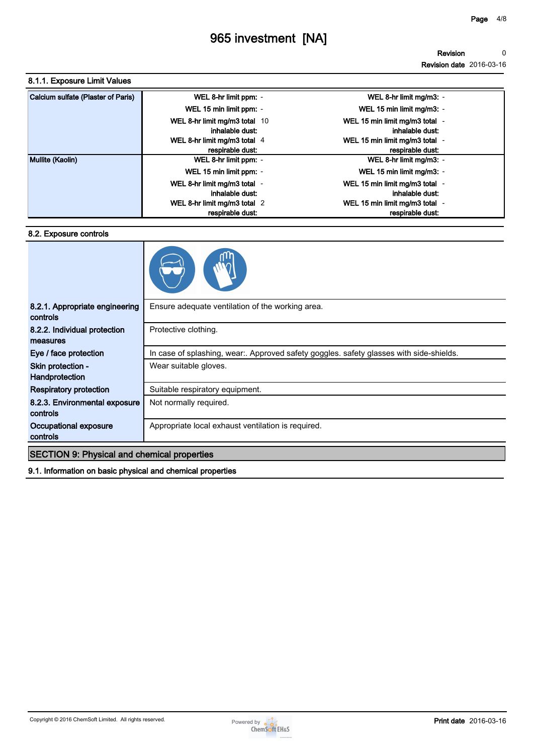**Revision Revision date 2016-03-16 0**

#### **8.1.1. Exposure Limit Values**

| Calcium sulfate (Plaster of Paris) | WEL 8-hr limit ppm: -                            | WEL 8-hr limit mg/m3: -                            |
|------------------------------------|--------------------------------------------------|----------------------------------------------------|
|                                    | WEL 15 min limit ppm: -                          | WEL 15 min limit mg/m3: -                          |
|                                    | WEL 8-hr limit mg/m3 total 10<br>inhalable dust: | WEL 15 min limit mg/m3 total -<br>inhalable dust:  |
|                                    | WEL 8-hr limit mg/m3 total 4<br>respirable dust: | WEL 15 min limit mg/m3 total -<br>respirable dust: |
| Mullite (Kaolin)                   | WEL 8-hr limit ppm: -                            | WEL 8-hr limit mg/m3: -                            |
|                                    | WEL 15 min limit ppm: -                          | WEL 15 min limit mg/m3: -                          |
|                                    | WEL 8-hr limit mg/m3 total -<br>inhalable dust:  | WEL 15 min limit mg/m3 total -<br>inhalable dust:  |
|                                    | WEL 8-hr limit mg/m3 total 2                     | WEL 15 min limit mg/m3 total -                     |
|                                    | respirable dust:                                 | respirable dust:                                   |

#### **8.2. Exposure controls**



| 8.2.1. Appropriate engineering<br>controls         | Ensure adequate ventilation of the working area.                                      |
|----------------------------------------------------|---------------------------------------------------------------------------------------|
| 8.2.2. Individual protection<br>measures           | Protective clothing.                                                                  |
| Eye / face protection                              | In case of splashing, wear Approved safety goggles. safety glasses with side-shields. |
| Skin protection -<br>Handprotection                | Wear suitable gloves.                                                                 |
| <b>Respiratory protection</b>                      | Suitable respiratory equipment.                                                       |
| 8.2.3. Environmental exposure<br>controls          | Not normally required.                                                                |
| Occupational exposure<br>controls                  | Appropriate local exhaust ventilation is required.                                    |
| <b>SECTION 9: Physical and chemical properties</b> |                                                                                       |
|                                                    |                                                                                       |

**9.1. Information on basic physical and chemical properties**

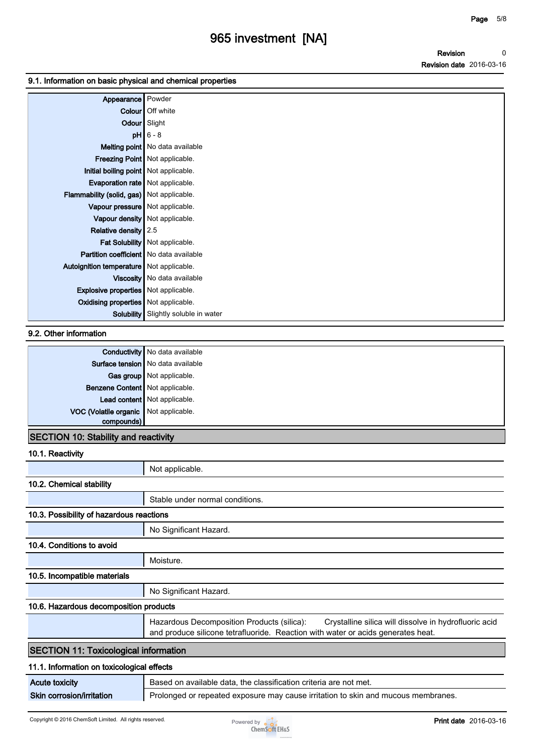#### **9.1. Information on basic physical and chemical properties**

| Appearance                                  | Powder                            |
|---------------------------------------------|-----------------------------------|
|                                             | <b>Colour</b> Off white           |
|                                             | Odour Slight                      |
|                                             | $pH$ 6 - 8                        |
|                                             | Melting point   No data available |
|                                             | Freezing Point   Not applicable.  |
| Initial boiling point   Not applicable.     |                                   |
| <b>Evaporation rate</b> Not applicable.     |                                   |
| Flammability (solid, gas) Not applicable.   |                                   |
| Vapour pressure Not applicable.             |                                   |
|                                             | Vapour density   Not applicable.  |
| Relative density 2.5                        |                                   |
|                                             | Fat Solubility   Not applicable.  |
| Partition coefficient   No data available   |                                   |
| Autoignition temperature   Not applicable.  |                                   |
|                                             | Viscosity   No data available     |
| <b>Explosive properties</b> Not applicable. |                                   |
| Oxidising properties Not applicable.        |                                   |
| <b>Solubility</b>                           | Slightly soluble in water         |

#### **9.2. Other information**

|                                       | <b>Conductivity</b> No data available |
|---------------------------------------|---------------------------------------|
|                                       | Surface tension   No data available   |
|                                       | Gas group Not applicable.             |
| Benzene Content Not applicable.       |                                       |
|                                       | Lead content Not applicable.          |
| VOC (Volatile organic Not applicable. |                                       |
| compounds)                            |                                       |
| .                                     | .                                     |

## **SECTION 10: Stability and reactivity**

### **10.1. Reactivity**

|                                              | Not applicable.                                                                                                                                                                         |
|----------------------------------------------|-----------------------------------------------------------------------------------------------------------------------------------------------------------------------------------------|
| 10.2. Chemical stability                     |                                                                                                                                                                                         |
|                                              | Stable under normal conditions.                                                                                                                                                         |
| 10.3. Possibility of hazardous reactions     |                                                                                                                                                                                         |
|                                              | No Significant Hazard.                                                                                                                                                                  |
| 10.4. Conditions to avoid                    |                                                                                                                                                                                         |
|                                              | Moisture.                                                                                                                                                                               |
| 10.5. Incompatible materials                 |                                                                                                                                                                                         |
|                                              | No Significant Hazard.                                                                                                                                                                  |
| 10.6. Hazardous decomposition products       |                                                                                                                                                                                         |
|                                              | Hazardous Decomposition Products (silica):<br>Crystalline silica will dissolve in hydrofluoric acid<br>and produce silicone tetrafluoride. Reaction with water or acids generates heat. |
| <b>SECTION 11: Toxicological information</b> |                                                                                                                                                                                         |
| 11.1. Information on toxicological effects   |                                                                                                                                                                                         |
| <b>Acute toxicity</b>                        | Based on available data, the classification criteria are not met.                                                                                                                       |
|                                              |                                                                                                                                                                                         |

#### **Skin corrosion/irritation Prolonged or repeated exposure may cause irritation to skin and mucous membranes.**

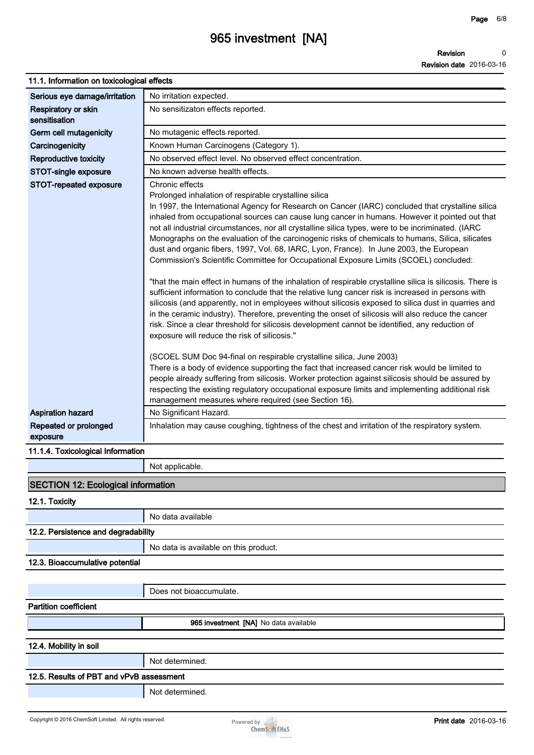#### **Page 6/8**

# **965 investment [NA]**

## **11.1. Information on toxicological effects**

| TT.T. INTOMINATION ON tOXICOlOGICAL BITECTS |                                                                                                                                                                                                                                                                                                                                                                                                                                                                                                                                                                                                                                                                                                                                                                                                                                                                                                                                                                                                                                                                                                                                                                                                                                                                                                                                                                                                                                                                                                                                                                                                                                                                                                             |
|---------------------------------------------|-------------------------------------------------------------------------------------------------------------------------------------------------------------------------------------------------------------------------------------------------------------------------------------------------------------------------------------------------------------------------------------------------------------------------------------------------------------------------------------------------------------------------------------------------------------------------------------------------------------------------------------------------------------------------------------------------------------------------------------------------------------------------------------------------------------------------------------------------------------------------------------------------------------------------------------------------------------------------------------------------------------------------------------------------------------------------------------------------------------------------------------------------------------------------------------------------------------------------------------------------------------------------------------------------------------------------------------------------------------------------------------------------------------------------------------------------------------------------------------------------------------------------------------------------------------------------------------------------------------------------------------------------------------------------------------------------------------|
| Serious eye damage/irritation               | No irritation expected.                                                                                                                                                                                                                                                                                                                                                                                                                                                                                                                                                                                                                                                                                                                                                                                                                                                                                                                                                                                                                                                                                                                                                                                                                                                                                                                                                                                                                                                                                                                                                                                                                                                                                     |
| Respiratory or skin<br>sensitisation        | No sensitizaton effects reported.                                                                                                                                                                                                                                                                                                                                                                                                                                                                                                                                                                                                                                                                                                                                                                                                                                                                                                                                                                                                                                                                                                                                                                                                                                                                                                                                                                                                                                                                                                                                                                                                                                                                           |
| Germ cell mutagenicity                      | No mutagenic effects reported.                                                                                                                                                                                                                                                                                                                                                                                                                                                                                                                                                                                                                                                                                                                                                                                                                                                                                                                                                                                                                                                                                                                                                                                                                                                                                                                                                                                                                                                                                                                                                                                                                                                                              |
| Carcinogenicity                             | Known Human Carcinogens (Category 1).                                                                                                                                                                                                                                                                                                                                                                                                                                                                                                                                                                                                                                                                                                                                                                                                                                                                                                                                                                                                                                                                                                                                                                                                                                                                                                                                                                                                                                                                                                                                                                                                                                                                       |
| Reproductive toxicity                       | No observed effect level. No observed effect concentration.                                                                                                                                                                                                                                                                                                                                                                                                                                                                                                                                                                                                                                                                                                                                                                                                                                                                                                                                                                                                                                                                                                                                                                                                                                                                                                                                                                                                                                                                                                                                                                                                                                                 |
| <b>STOT-single exposure</b>                 | No known adverse health effects.                                                                                                                                                                                                                                                                                                                                                                                                                                                                                                                                                                                                                                                                                                                                                                                                                                                                                                                                                                                                                                                                                                                                                                                                                                                                                                                                                                                                                                                                                                                                                                                                                                                                            |
| STOT-repeated exposure                      | Chronic effects<br>Prolonged inhalation of respirable crystalline silica<br>In 1997, the International Agency for Research on Cancer (IARC) concluded that crystalline silica<br>inhaled from occupational sources can cause lung cancer in humans. However it pointed out that<br>not all industrial circumstances, nor all crystalline silica types, were to be incriminated. (IARC<br>Monographs on the evaluation of the carcinogenic risks of chemicals to humans, Silica, silicates<br>dust and organic fibers, 1997, Vol. 68, IARC, Lyon, France). In June 2003, the European<br>Commission's Scientific Committee for Occupational Exposure Limits (SCOEL) concluded:<br>"that the main effect in humans of the inhalation of respirable crystalline silica is silicosis. There is<br>sufficient information to conclude that the relative lung cancer risk is increased in persons with<br>silicosis (and apparently, not in employees without silicosis exposed to silica dust in quarries and<br>in the ceramic industry). Therefore, preventing the onset of silicosis will also reduce the cancer<br>risk. Since a clear threshold for silicosis development cannot be identified, any reduction of<br>exposure will reduce the risk of silicosis."<br>(SCOEL SUM Doc 94-final on respirable crystalline silica, June 2003)<br>There is a body of evidence supporting the fact that increased cancer risk would be limited to<br>people already suffering from silicosis. Worker protection against silicosis should be assured by<br>respecting the existing regulatory occupational exposure limits and implementing additional risk<br>management measures where required (see Section 16). |
| <b>Aspiration hazard</b>                    | No Significant Hazard.                                                                                                                                                                                                                                                                                                                                                                                                                                                                                                                                                                                                                                                                                                                                                                                                                                                                                                                                                                                                                                                                                                                                                                                                                                                                                                                                                                                                                                                                                                                                                                                                                                                                                      |
| Repeated or prolonged<br>exposure           | Inhalation may cause coughing, tightness of the chest and irritation of the respiratory system.                                                                                                                                                                                                                                                                                                                                                                                                                                                                                                                                                                                                                                                                                                                                                                                                                                                                                                                                                                                                                                                                                                                                                                                                                                                                                                                                                                                                                                                                                                                                                                                                             |
| 11.1.4. Toxicological Information           |                                                                                                                                                                                                                                                                                                                                                                                                                                                                                                                                                                                                                                                                                                                                                                                                                                                                                                                                                                                                                                                                                                                                                                                                                                                                                                                                                                                                                                                                                                                                                                                                                                                                                                             |
|                                             | Not applicable.                                                                                                                                                                                                                                                                                                                                                                                                                                                                                                                                                                                                                                                                                                                                                                                                                                                                                                                                                                                                                                                                                                                                                                                                                                                                                                                                                                                                                                                                                                                                                                                                                                                                                             |
| SECTION 12: Ecological information          |                                                                                                                                                                                                                                                                                                                                                                                                                                                                                                                                                                                                                                                                                                                                                                                                                                                                                                                                                                                                                                                                                                                                                                                                                                                                                                                                                                                                                                                                                                                                                                                                                                                                                                             |
|                                             |                                                                                                                                                                                                                                                                                                                                                                                                                                                                                                                                                                                                                                                                                                                                                                                                                                                                                                                                                                                                                                                                                                                                                                                                                                                                                                                                                                                                                                                                                                                                                                                                                                                                                                             |
| 12.1. Toxicity                              |                                                                                                                                                                                                                                                                                                                                                                                                                                                                                                                                                                                                                                                                                                                                                                                                                                                                                                                                                                                                                                                                                                                                                                                                                                                                                                                                                                                                                                                                                                                                                                                                                                                                                                             |
|                                             | No data available                                                                                                                                                                                                                                                                                                                                                                                                                                                                                                                                                                                                                                                                                                                                                                                                                                                                                                                                                                                                                                                                                                                                                                                                                                                                                                                                                                                                                                                                                                                                                                                                                                                                                           |
| 12.2. Persistence and degradability         |                                                                                                                                                                                                                                                                                                                                                                                                                                                                                                                                                                                                                                                                                                                                                                                                                                                                                                                                                                                                                                                                                                                                                                                                                                                                                                                                                                                                                                                                                                                                                                                                                                                                                                             |
|                                             | No data is available on this product.                                                                                                                                                                                                                                                                                                                                                                                                                                                                                                                                                                                                                                                                                                                                                                                                                                                                                                                                                                                                                                                                                                                                                                                                                                                                                                                                                                                                                                                                                                                                                                                                                                                                       |
| 12.3. Bioaccumulative potential             |                                                                                                                                                                                                                                                                                                                                                                                                                                                                                                                                                                                                                                                                                                                                                                                                                                                                                                                                                                                                                                                                                                                                                                                                                                                                                                                                                                                                                                                                                                                                                                                                                                                                                                             |
|                                             |                                                                                                                                                                                                                                                                                                                                                                                                                                                                                                                                                                                                                                                                                                                                                                                                                                                                                                                                                                                                                                                                                                                                                                                                                                                                                                                                                                                                                                                                                                                                                                                                                                                                                                             |
|                                             | Does not bioaccumulate.                                                                                                                                                                                                                                                                                                                                                                                                                                                                                                                                                                                                                                                                                                                                                                                                                                                                                                                                                                                                                                                                                                                                                                                                                                                                                                                                                                                                                                                                                                                                                                                                                                                                                     |
| <b>Partition coefficient</b>                |                                                                                                                                                                                                                                                                                                                                                                                                                                                                                                                                                                                                                                                                                                                                                                                                                                                                                                                                                                                                                                                                                                                                                                                                                                                                                                                                                                                                                                                                                                                                                                                                                                                                                                             |
|                                             | 965 investment [NA] No data available                                                                                                                                                                                                                                                                                                                                                                                                                                                                                                                                                                                                                                                                                                                                                                                                                                                                                                                                                                                                                                                                                                                                                                                                                                                                                                                                                                                                                                                                                                                                                                                                                                                                       |
|                                             |                                                                                                                                                                                                                                                                                                                                                                                                                                                                                                                                                                                                                                                                                                                                                                                                                                                                                                                                                                                                                                                                                                                                                                                                                                                                                                                                                                                                                                                                                                                                                                                                                                                                                                             |
| 12.4. Mobility in soil                      |                                                                                                                                                                                                                                                                                                                                                                                                                                                                                                                                                                                                                                                                                                                                                                                                                                                                                                                                                                                                                                                                                                                                                                                                                                                                                                                                                                                                                                                                                                                                                                                                                                                                                                             |
|                                             | Not determined.                                                                                                                                                                                                                                                                                                                                                                                                                                                                                                                                                                                                                                                                                                                                                                                                                                                                                                                                                                                                                                                                                                                                                                                                                                                                                                                                                                                                                                                                                                                                                                                                                                                                                             |
| 12.5. Results of PBT and vPvB assessment    |                                                                                                                                                                                                                                                                                                                                                                                                                                                                                                                                                                                                                                                                                                                                                                                                                                                                                                                                                                                                                                                                                                                                                                                                                                                                                                                                                                                                                                                                                                                                                                                                                                                                                                             |
|                                             | Not determined.                                                                                                                                                                                                                                                                                                                                                                                                                                                                                                                                                                                                                                                                                                                                                                                                                                                                                                                                                                                                                                                                                                                                                                                                                                                                                                                                                                                                                                                                                                                                                                                                                                                                                             |
|                                             |                                                                                                                                                                                                                                                                                                                                                                                                                                                                                                                                                                                                                                                                                                                                                                                                                                                                                                                                                                                                                                                                                                                                                                                                                                                                                                                                                                                                                                                                                                                                                                                                                                                                                                             |

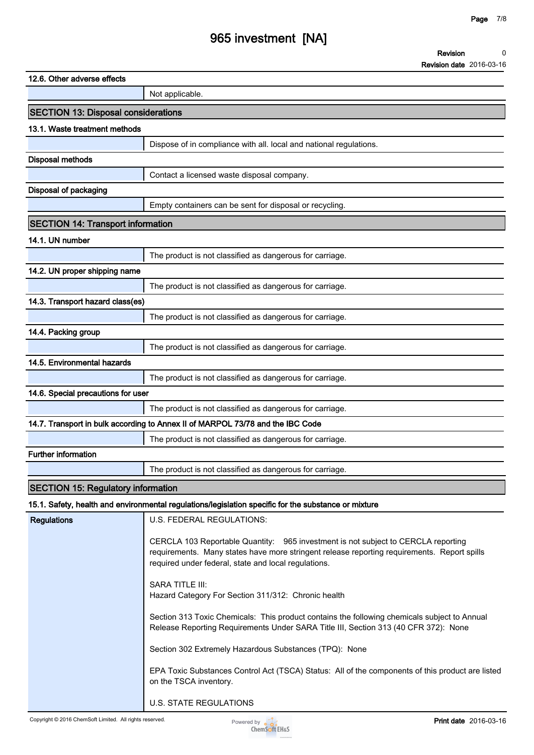# **965 investment [NA]**

**Revision Revision date 2016-03-16 0**

| 12.6. Other adverse effects                                                    |                                                                                                                                                                                                                                                                                                                                                                                                                                                                                                                                                                                                                                                                                                          |  |
|--------------------------------------------------------------------------------|----------------------------------------------------------------------------------------------------------------------------------------------------------------------------------------------------------------------------------------------------------------------------------------------------------------------------------------------------------------------------------------------------------------------------------------------------------------------------------------------------------------------------------------------------------------------------------------------------------------------------------------------------------------------------------------------------------|--|
|                                                                                | Not applicable.                                                                                                                                                                                                                                                                                                                                                                                                                                                                                                                                                                                                                                                                                          |  |
| <b>SECTION 13: Disposal considerations</b>                                     |                                                                                                                                                                                                                                                                                                                                                                                                                                                                                                                                                                                                                                                                                                          |  |
| 13.1. Waste treatment methods                                                  |                                                                                                                                                                                                                                                                                                                                                                                                                                                                                                                                                                                                                                                                                                          |  |
|                                                                                | Dispose of in compliance with all. local and national regulations.                                                                                                                                                                                                                                                                                                                                                                                                                                                                                                                                                                                                                                       |  |
| <b>Disposal methods</b>                                                        |                                                                                                                                                                                                                                                                                                                                                                                                                                                                                                                                                                                                                                                                                                          |  |
|                                                                                | Contact a licensed waste disposal company.                                                                                                                                                                                                                                                                                                                                                                                                                                                                                                                                                                                                                                                               |  |
| <b>Disposal of packaging</b>                                                   |                                                                                                                                                                                                                                                                                                                                                                                                                                                                                                                                                                                                                                                                                                          |  |
|                                                                                | Empty containers can be sent for disposal or recycling.                                                                                                                                                                                                                                                                                                                                                                                                                                                                                                                                                                                                                                                  |  |
| <b>SECTION 14: Transport information</b>                                       |                                                                                                                                                                                                                                                                                                                                                                                                                                                                                                                                                                                                                                                                                                          |  |
| 14.1. UN number                                                                |                                                                                                                                                                                                                                                                                                                                                                                                                                                                                                                                                                                                                                                                                                          |  |
|                                                                                | The product is not classified as dangerous for carriage.                                                                                                                                                                                                                                                                                                                                                                                                                                                                                                                                                                                                                                                 |  |
| 14.2. UN proper shipping name                                                  |                                                                                                                                                                                                                                                                                                                                                                                                                                                                                                                                                                                                                                                                                                          |  |
|                                                                                | The product is not classified as dangerous for carriage.                                                                                                                                                                                                                                                                                                                                                                                                                                                                                                                                                                                                                                                 |  |
| 14.3. Transport hazard class(es)                                               |                                                                                                                                                                                                                                                                                                                                                                                                                                                                                                                                                                                                                                                                                                          |  |
|                                                                                | The product is not classified as dangerous for carriage.                                                                                                                                                                                                                                                                                                                                                                                                                                                                                                                                                                                                                                                 |  |
| 14.4. Packing group                                                            |                                                                                                                                                                                                                                                                                                                                                                                                                                                                                                                                                                                                                                                                                                          |  |
|                                                                                | The product is not classified as dangerous for carriage.                                                                                                                                                                                                                                                                                                                                                                                                                                                                                                                                                                                                                                                 |  |
| 14.5. Environmental hazards                                                    |                                                                                                                                                                                                                                                                                                                                                                                                                                                                                                                                                                                                                                                                                                          |  |
|                                                                                | The product is not classified as dangerous for carriage.                                                                                                                                                                                                                                                                                                                                                                                                                                                                                                                                                                                                                                                 |  |
| 14.6. Special precautions for user                                             |                                                                                                                                                                                                                                                                                                                                                                                                                                                                                                                                                                                                                                                                                                          |  |
|                                                                                | The product is not classified as dangerous for carriage.                                                                                                                                                                                                                                                                                                                                                                                                                                                                                                                                                                                                                                                 |  |
| 14.7. Transport in bulk according to Annex II of MARPOL 73/78 and the IBC Code |                                                                                                                                                                                                                                                                                                                                                                                                                                                                                                                                                                                                                                                                                                          |  |
|                                                                                | The product is not classified as dangerous for carriage.                                                                                                                                                                                                                                                                                                                                                                                                                                                                                                                                                                                                                                                 |  |
| <b>Further information</b>                                                     |                                                                                                                                                                                                                                                                                                                                                                                                                                                                                                                                                                                                                                                                                                          |  |
|                                                                                | The product is not classified as dangerous for carriage.                                                                                                                                                                                                                                                                                                                                                                                                                                                                                                                                                                                                                                                 |  |
| <b>SECTION 15: Regulatory information</b>                                      |                                                                                                                                                                                                                                                                                                                                                                                                                                                                                                                                                                                                                                                                                                          |  |
|                                                                                | 15.1. Safety, health and environmental regulations/legislation specific for the substance or mixture                                                                                                                                                                                                                                                                                                                                                                                                                                                                                                                                                                                                     |  |
| <b>Regulations</b>                                                             | U.S. FEDERAL REGULATIONS:                                                                                                                                                                                                                                                                                                                                                                                                                                                                                                                                                                                                                                                                                |  |
|                                                                                | CERCLA 103 Reportable Quantity: 965 investment is not subject to CERCLA reporting<br>requirements. Many states have more stringent release reporting requirements. Report spills<br>required under federal, state and local regulations.<br><b>SARA TITLE III:</b><br>Hazard Category For Section 311/312: Chronic health<br>Section 313 Toxic Chemicals: This product contains the following chemicals subject to Annual<br>Release Reporting Requirements Under SARA Title III, Section 313 (40 CFR 372): None<br>Section 302 Extremely Hazardous Substances (TPQ): None<br>EPA Toxic Substances Control Act (TSCA) Status: All of the components of this product are listed<br>on the TSCA inventory. |  |
|                                                                                | <b>U.S. STATE REGULATIONS</b>                                                                                                                                                                                                                                                                                                                                                                                                                                                                                                                                                                                                                                                                            |  |